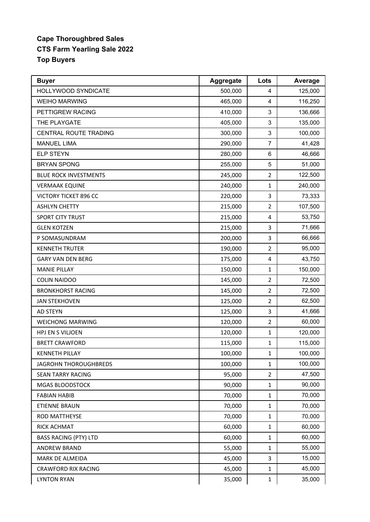## **Cape Thoroughbred Sales CTS Farm Yearling Sale 2022 Top Buyers**

| <b>Buyer</b>                 | Aggregate | Lots           | Average |
|------------------------------|-----------|----------------|---------|
| HOLLYWOOD SYNDICATE          | 500,000   | 4              | 125,000 |
| <b>WEIHO MARWING</b>         | 465,000   | 4              | 116,250 |
| PETTIGREW RACING             | 410,000   | 3              | 136,666 |
| THE PLAYGATE                 | 405,000   | 3              | 135,000 |
| CENTRAL ROUTE TRADING        | 300,000   | 3              | 100,000 |
| <b>MANUEL LIMA</b>           | 290,000   | 7              | 41,428  |
| <b>ELP STEYN</b>             | 280,000   | 6              | 46,666  |
| <b>BRYAN SPONG</b>           | 255,000   | 5              | 51,000  |
| <b>BLUE ROCK INVESTMENTS</b> | 245,000   | $\overline{2}$ | 122,500 |
| <b>VERMAAK EQUINE</b>        | 240,000   | $\mathbf{1}$   | 240,000 |
| VICTORY TICKET 896 CC        | 220,000   | 3              | 73,333  |
| <b>ASHLYN CHETTY</b>         | 215,000   | $\overline{2}$ | 107,500 |
| <b>SPORT CITY TRUST</b>      | 215,000   | 4              | 53,750  |
| <b>GLEN KOTZEN</b>           | 215,000   | 3              | 71,666  |
| P SOMASUNDRAM                | 200,000   | 3              | 66,666  |
| <b>KENNETH TRUTER</b>        | 190,000   | $\overline{2}$ | 95,000  |
| <b>GARY VAN DEN BERG</b>     | 175,000   | 4              | 43,750  |
| <b>MANIE PILLAY</b>          | 150,000   | $\mathbf{1}$   | 150,000 |
| <b>COLIN NAIDOO</b>          | 145,000   | $\overline{2}$ | 72,500  |
| <b>BRONKHORST RACING</b>     | 145,000   | $\overline{2}$ | 72,500  |
| <b>JAN STEKHOVEN</b>         | 125,000   | $\overline{2}$ | 62,500  |
| <b>AD STEYN</b>              | 125,000   | 3              | 41,666  |
| <b>WEICHONG MARWING</b>      | 120,000   | $\overline{2}$ | 60,000  |
| HPJ EN S VILJOEN             | 120,000   | $\mathbf{1}$   | 120,000 |
| <b>BRETT CRAWFORD</b>        | 115,000   | $\mathbf{1}$   | 115,000 |
| <b>KENNETH PILLAY</b>        | 100,000   | 1              | 100,000 |
| <b>JAGROHN THOROUGHBREDS</b> | 100,000   | $\mathbf{1}$   | 100,000 |
| <b>SEAN TARRY RACING</b>     | 95,000    | $\overline{2}$ | 47,500  |
| MGAS BLOODSTOCK              | 90,000    | $\mathbf{1}$   | 90,000  |
| <b>FABIAN HABIB</b>          | 70,000    | $\mathbf 1$    | 70,000  |
| ETIENNE BRAUN                | 70,000    | 1              | 70,000  |
| ROD MATTHEYSE                | 70,000    | $\mathbf 1$    | 70,000  |
| RICK ACHMAT                  | 60,000    | $\mathbf 1$    | 60,000  |
| <b>BASS RACING (PTY) LTD</b> | 60,000    | 1              | 60,000  |
| ANDREW BRAND                 | 55,000    | $\mathbf 1$    | 55,000  |
| MARK DE ALMEIDA              | 45,000    | 3              | 15,000  |
| <b>CRAWFORD RIX RACING</b>   | 45,000    | $\mathbf{1}$   | 45,000  |
| <b>LYNTON RYAN</b>           | 35,000    | 1              | 35,000  |